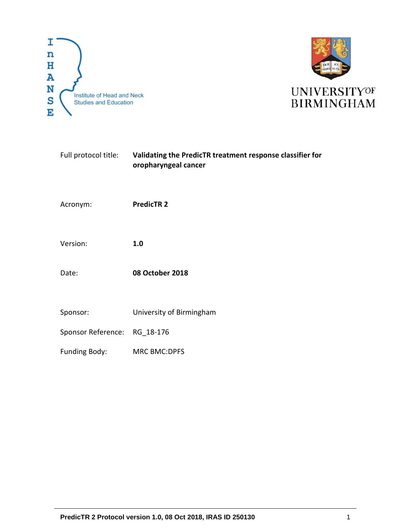



| Full protocol title: | Validating the PredicTR treatment response classifier for<br>oropharyngeal cancer |
|----------------------|-----------------------------------------------------------------------------------|
| Acronym:             | <b>PredicTR 2</b>                                                                 |
| Version:             | 1.0                                                                               |
| Date:                | <b>08 October 2018</b>                                                            |
| Sponsor:             | University of Birmingham                                                          |
| Sponsor Reference:   | RG_18-176                                                                         |
| Funding Body:        | <b>MRC BMC:DPFS</b>                                                               |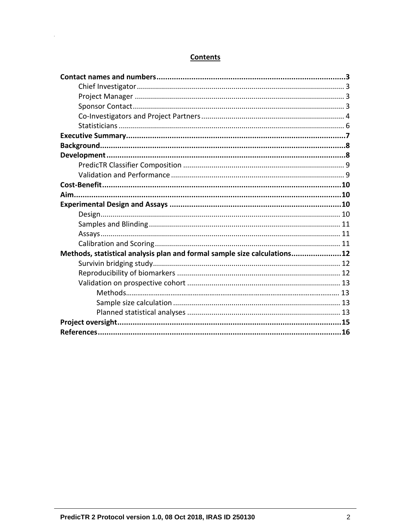# **Contents**

 $\ddot{\phantom{1}}$ 

| Methods, statistical analysis plan and formal sample size calculations12 |  |
|--------------------------------------------------------------------------|--|
|                                                                          |  |
|                                                                          |  |
|                                                                          |  |
|                                                                          |  |
|                                                                          |  |
|                                                                          |  |
|                                                                          |  |
|                                                                          |  |
|                                                                          |  |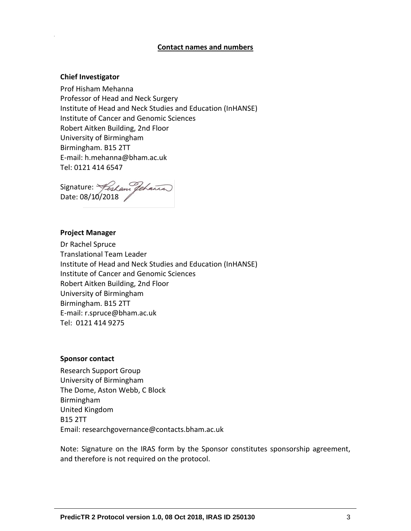#### **Contact names and numbers**

#### <span id="page-2-1"></span><span id="page-2-0"></span>**Chief Investigator**

Prof Hisham Mehanna Professor of Head and Neck Surgery Institute of Head and Neck Studies and Education (InHANSE) Institute of Cancer and Genomic Sciences Robert Aitken Building, 2nd Floor University of Birmingham Birmingham. B15 2TT E-mail: [h.mehanna@bham.ac.uk](mailto:h.mehanna@bham.ac.uk) Tel: 0121 414 6547

<span id="page-2-2"></span>Signature: Date: 08/10/2018

#### **Project Manager**

Dr Rachel Spruce Translational Team Leader Institute of Head and Neck Studies and Education (InHANSE) Institute of Cancer and Genomic Sciences Robert Aitken Building, 2nd Floor University of Birmingham Birmingham. B15 2TT E-mail: [r.spruce@bham.ac.uk](mailto:r.spruce@bham.ac.uk) Tel: 0121 414 9275

#### <span id="page-2-3"></span>**Sponsor contact**

Research Support Group University of Birmingham The Dome, Aston Webb, C Block Birmingham United Kingdom B15 2TT Email: researchgovernance@contacts.bham.ac.uk

Note: Signature on the IRAS form by the Sponsor constitutes sponsorship agreement, and therefore is not required on the protocol.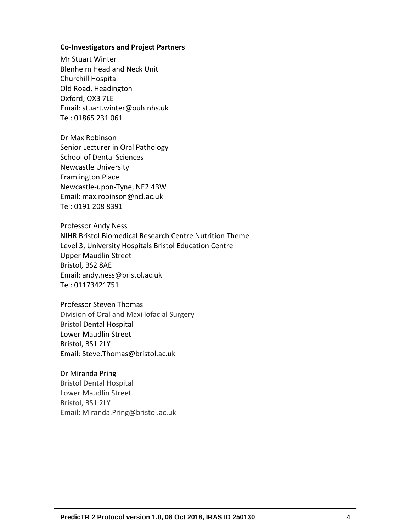#### <span id="page-3-0"></span>**Co-Investigators and Project Partners**

Mr Stuart Winter Blenheim Head and Neck Unit Churchill Hospital Old Road, Headington Oxford, OX3 7LE Email: stuart.winter@ouh.nhs.uk Tel: 01865 231 061

Dr Max Robinson Senior Lecturer in Oral Pathology School of Dental Sciences Newcastle University Framlington Place Newcastle-upon-Tyne, NE2 4BW Email: max.robinson@ncl.ac.uk Tel: 0191 208 8391

Professor Andy Ness NIHR Bristol Biomedical Research Centre Nutrition Theme Level 3, University Hospitals Bristol Education Centre Upper Maudlin Street Bristol, BS2 8AE Email: [andy.ness@bristol.ac.uk](mailto:andy.ness@bristol.ac.uk) Tel: 01173421751

Professor Steven Thomas Division of Oral and Maxillofacial Surgery Bristol Dental Hospital Lower Maudlin Street Bristol, BS1 2LY Email: [Steve.Thomas@bristol.ac.uk](mailto:Steve.Thomas@bristol.ac.uk)

Dr Miranda Pring Bristol Dental Hospital Lower Maudlin Street Bristol, BS1 2LY Email: Miranda.Pring@bristol.ac.uk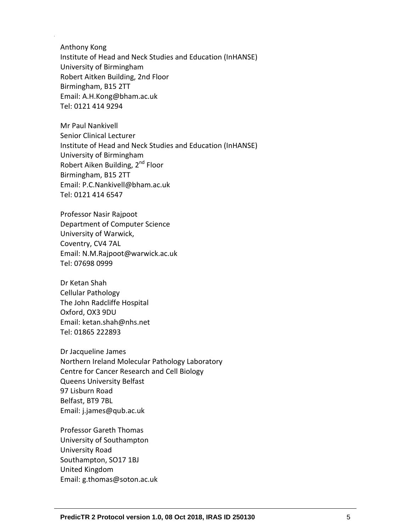Anthony Kong Institute of Head and Neck Studies and Education (InHANSE) University of Birmingham Robert Aitken Building, 2nd Floor Birmingham, B15 2TT Email: [A.H.Kong@bham.ac.uk](mailto:A.H.Kong@bham.ac.uk) Tel: 0121 414 9294

Mr Paul Nankivell Senior Clinical Lecturer Institute of Head and Neck Studies and Education (InHANSE) University of Birmingham Robert Aiken Building, 2<sup>nd</sup> Floor Birmingham, B15 2TT Email: P.C.Nankivell@bham.ac.uk Tel: 0121 414 6547

Professor Nasir Rajpoot Department of Computer Science University of Warwick, Coventry, CV4 7AL Email: N.M.Rajpoot@warwick.ac.uk Tel: 07698 0999

Dr Ketan Shah Cellular Pathology The John Radcliffe Hospital Oxford, OX3 9DU Email: ketan.shah@nhs.net Tel: 01865 222893

Dr Jacqueline James Northern Ireland Molecular Pathology Laboratory Centre for Cancer Research and Cell Biology Queens University Belfast 97 Lisburn Road Belfast, BT9 7BL Email: [j.james@qub.ac.uk](mailto:j.james@qub.ac.uk)

Professor Gareth Thomas University of Southampton University Road Southampton, SO17 1BJ United Kingdom Email: [g.thomas@soton.ac.uk](mailto:g.thomas@soton.ac.uk)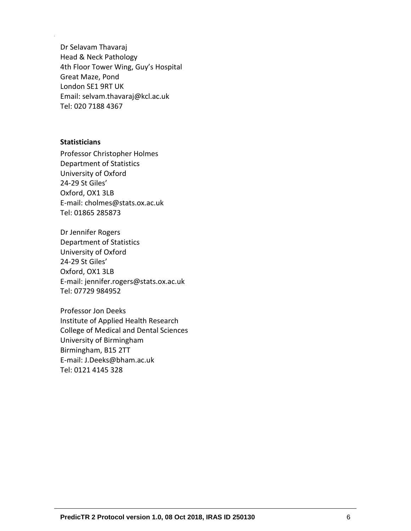Dr Selavam Thavaraj Head & Neck Pathology 4th Floor Tower Wing, Guy's Hospital Great Maze, Pond London SE1 9RT UK Email: selvam.thavaraj@kcl.ac.uk Tel: 020 7188 4367

### <span id="page-5-0"></span>**Statisticians**

Professor Christopher Holmes Department of Statistics University of Oxford 24-29 St Giles' Oxford, OX1 3LB E-mail: cholmes@stats.ox.ac.uk Tel: 01865 285873

Dr Jennifer Rogers Department of Statistics University of Oxford 24-29 St Giles' Oxford, OX1 3LB E-mail: [jennifer.rogers@stats.ox.ac.uk](mailto:jennifer.rogers@stats.ox.ac.uk) Tel: 07729 984952

Professor Jon Deeks Institute of Applied Health Research College of Medical and Dental Sciences University of Birmingham Birmingham, B15 2TT E-mail: J.Deeks@bham.ac.uk Tel: 0121 4145 328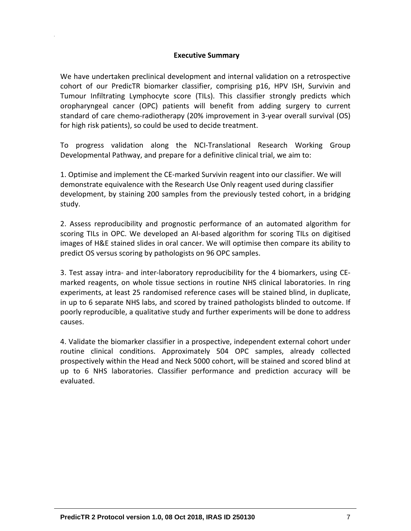### **Executive Summary**

<span id="page-6-0"></span>We have undertaken preclinical development and internal validation on a retrospective cohort of our PredicTR biomarker classifier, comprising p16, HPV ISH, Survivin and Tumour Infiltrating Lymphocyte score (TILs). This classifier strongly predicts which oropharyngeal cancer (OPC) patients will benefit from adding surgery to current standard of care chemo-radiotherapy (20% improvement in 3-year overall survival (OS) for high risk patients), so could be used to decide treatment.

To progress validation along the NCI-Translational Research Working Group Developmental Pathway, and prepare for a definitive clinical trial, we aim to:

1. Optimise and implement the CE-marked Survivin reagent into our classifier. We will demonstrate equivalence with the Research Use Only reagent used during classifier development, by staining 200 samples from the previously tested cohort, in a bridging study.

2. Assess reproducibility and prognostic performance of an automated algorithm for scoring TILs in OPC. We developed an AI-based algorithm for scoring TILs on digitised images of H&E stained slides in oral cancer. We will optimise then compare its ability to predict OS versus scoring by pathologists on 96 OPC samples.

3. Test assay intra- and inter-laboratory reproducibility for the 4 biomarkers, using CEmarked reagents, on whole tissue sections in routine NHS clinical laboratories. In ring experiments, at least 25 randomised reference cases will be stained blind, in duplicate, in up to 6 separate NHS labs, and scored by trained pathologists blinded to outcome. If poorly reproducible, a qualitative study and further experiments will be done to address causes.

4. Validate the biomarker classifier in a prospective, independent external cohort under routine clinical conditions. Approximately 504 OPC samples, already collected prospectively within the Head and Neck 5000 cohort, will be stained and scored blind at up to 6 NHS laboratories. Classifier performance and prediction accuracy will be evaluated.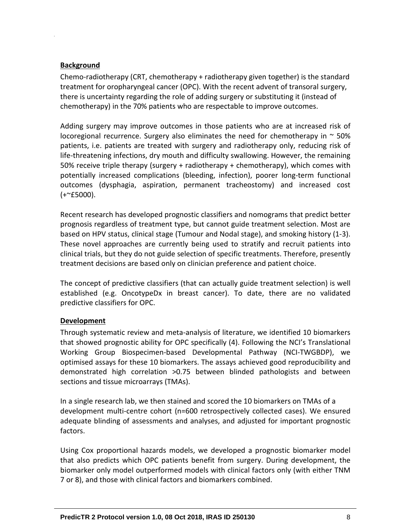## <span id="page-7-0"></span>**Background**

Chemo-radiotherapy (CRT, chemotherapy + radiotherapy given together) is the standard treatment for oropharyngeal cancer (OPC). With the recent advent of transoral surgery, there is uncertainty regarding the role of adding surgery or substituting it (instead of chemotherapy) in the 70% patients who are respectable to improve outcomes.

Adding surgery may improve outcomes in those patients who are at increased risk of locoregional recurrence. Surgery also eliminates the need for chemotherapy in  $\sim$  50% patients, i.e. patients are treated with surgery and radiotherapy only, reducing risk of life-threatening infections, dry mouth and difficulty swallowing. However, the remaining 50% receive triple therapy (surgery + radiotherapy + chemotherapy), which comes with potentially increased complications (bleeding, infection), poorer long-term functional outcomes (dysphagia, aspiration, permanent tracheostomy) and increased cost  $(+$   $\sim$  £5000).

Recent research has developed prognostic classifiers and nomograms that predict better prognosis regardless of treatment type, but cannot guide treatment selection. Most are based on HPV status, clinical stage (Tumour and Nodal stage), and smoking history (1-3). These novel approaches are currently being used to stratify and recruit patients into clinical trials, but they do not guide selection of specific treatments. Therefore, presently treatment decisions are based only on clinician preference and patient choice.

The concept of predictive classifiers (that can actually guide treatment selection) is well established (e.g. OncotypeDx in breast cancer). To date, there are no validated predictive classifiers for OPC.

## <span id="page-7-1"></span>**Development**

Through systematic review and meta-analysis of literature, we identified 10 biomarkers that showed prognostic ability for OPC specifically (4). Following the NCI's Translational Working Group Biospecimen-based Developmental Pathway (NCI-TWGBDP), we optimised assays for these 10 biomarkers. The assays achieved good reproducibility and demonstrated high correlation >0.75 between blinded pathologists and between sections and tissue microarrays (TMAs).

In a single research lab, we then stained and scored the 10 biomarkers on TMAs of a development multi-centre cohort (n=600 retrospectively collected cases). We ensured adequate blinding of assessments and analyses, and adjusted for important prognostic factors.

Using Cox proportional hazards models, we developed a prognostic biomarker model that also predicts which OPC patients benefit from surgery. During development, the biomarker only model outperformed models with clinical factors only (with either TNM 7 or 8), and those with clinical factors and biomarkers combined.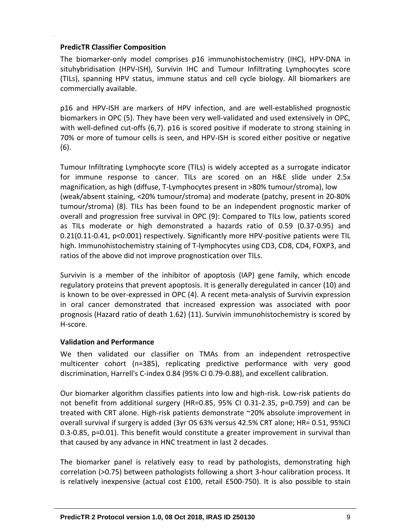## <span id="page-8-0"></span>**PredicTR Classifier Composition**

The biomarker-only model comprises p16 immunohistochemistry (IHC), HPV-DNA in situhybridisation (HPV-ISH), Survivin IHC and Tumour Infiltrating Lymphocytes score (TILs), spanning HPV status, immune status and cell cycle biology. All biomarkers are commercially available.

p16 and HPV-ISH are markers of HPV infection, and are well-established prognostic biomarkers in OPC (5). They have been very well-validated and used extensively in OPC, with well-defined cut-offs (6,7). p16 is scored positive if moderate to strong staining in 70% or more of tumour cells is seen, and HPV-ISH is scored either positive or negative (6).

Tumour Infiltrating Lymphocyte score (TILs) is widely accepted as a surrogate indicator for immune response to cancer. TILs are scored on an H&E slide under 2.5x magnification, as high (diffuse, T-Lymphocytes present in >80% tumour/stroma), low (weak/absent staining, <20% tumour/stroma) and moderate (patchy, present in 20-80% tumour/stroma) (8). TILs has been found to be an independent prognostic marker of overall and progression free survival in OPC (9): Compared to TILs low, patients scored as TILs moderate or high demonstrated a hazards ratio of 0.59 (0.37-0.95) and 0.21(0.11-0.41, p<0.001) respectively. Significantly more HPV-positive patients were TIL high. Immunohistochemistry staining of T-lymphocytes using CD3, CD8, CD4, FOXP3, and ratios of the above did not improve prognostication over TILs.

Survivin is a member of the inhibitor of apoptosis (IAP) gene family, which encode regulatory proteins that prevent apoptosis. It is generally deregulated in cancer (10) and is known to be over-expressed in OPC (4). A recent meta-analysis of Survivin expression in oral cancer demonstrated that increased expression was associated with poor prognosis (Hazard ratio of death 1.62) (11). Survivin immunohistochemistry is scored by H-score.

# <span id="page-8-1"></span>**Validation and Performance**

We then validated our classifier on TMAs from an independent retrospective multicenter cohort (n=385), replicating predictive performance with very good discrimination, Harrell's C-index 0.84 (95% CI 0.79-0.88), and excellent calibration.

Our biomarker algorithm classifies patients into low and high-risk. Low-risk patients do not benefit from additional surgery (HR=0.85, 95% CI 0.31-2.35, p=0.759) and can be treated with CRT alone. High-risk patients demonstrate ~20% absolute improvement in overall survival if surgery is added (3yr OS 63% versus 42.5% CRT alone; HR= 0.51, 95%CI 0.3-0.85, p=0.01). This benefit would constitute a greater improvement in survival than that caused by any advance in HNC treatment in last 2 decades.

The biomarker panel is relatively easy to read by pathologists, demonstrating high correlation (>0.75) between pathologists following a short 3-hour calibration process. It is relatively inexpensive (actual cost £100, retail £500-750). It is also possible to stain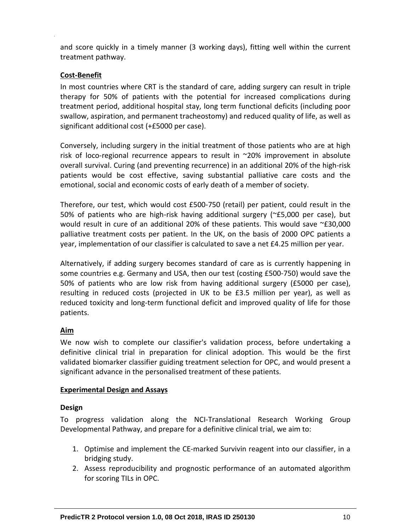and score quickly in a timely manner (3 working days), fitting well within the current treatment pathway.

## <span id="page-9-0"></span>**Cost-Benefit**

In most countries where CRT is the standard of care, adding surgery can result in triple therapy for 50% of patients with the potential for increased complications during treatment period, additional hospital stay, long term functional deficits (including poor swallow, aspiration, and permanent tracheostomy) and reduced quality of life, as well as significant additional cost (+£5000 per case).

Conversely, including surgery in the initial treatment of those patients who are at high risk of loco-regional recurrence appears to result in ~20% improvement in absolute overall survival. Curing (and preventing recurrence) in an additional 20% of the high-risk patients would be cost effective, saving substantial palliative care costs and the emotional, social and economic costs of early death of a member of society.

Therefore, our test, which would cost £500-750 (retail) per patient, could result in the 50% of patients who are high-risk having additional surgery (~£5,000 per case), but would result in cure of an additional 20% of these patients. This would save  $\approx$ £30,000 palliative treatment costs per patient. In the UK, on the basis of 2000 OPC patients a year, implementation of our classifier is calculated to save a net £4.25 million per year.

Alternatively, if adding surgery becomes standard of care as is currently happening in some countries e.g. Germany and USA, then our test (costing £500-750) would save the 50% of patients who are low risk from having additional surgery (£5000 per case), resulting in reduced costs (projected in UK to be £3.5 million per year), as well as reduced toxicity and long-term functional deficit and improved quality of life for those patients.

# <span id="page-9-1"></span>**Aim**

We now wish to complete our classifier's validation process, before undertaking a definitive clinical trial in preparation for clinical adoption. This would be the first validated biomarker classifier guiding treatment selection for OPC, and would present a significant advance in the personalised treatment of these patients.

## <span id="page-9-2"></span>**Experimental Design and Assays**

# <span id="page-9-3"></span>**Design**

To progress validation along the NCI-Translational Research Working Group Developmental Pathway, and prepare for a definitive clinical trial, we aim to:

- 1. Optimise and implement the CE-marked Survivin reagent into our classifier, in a bridging study.
- 2. Assess reproducibility and prognostic performance of an automated algorithm for scoring TILs in OPC.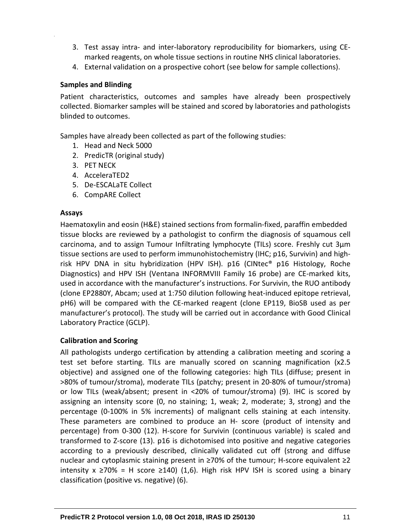- 3. Test assay intra- and inter-laboratory reproducibility for biomarkers, using CEmarked reagents, on whole tissue sections in routine NHS clinical laboratories.
- 4. External validation on a prospective cohort (see below for sample collections).

## <span id="page-10-0"></span>**Samples and Blinding**

Patient characteristics, outcomes and samples have already been prospectively collected. Biomarker samples will be stained and scored by laboratories and pathologists blinded to outcomes.

Samples have already been collected as part of the following studies:

- 1. Head and Neck 5000
- 2. PredicTR (original study)
- 3. PET NECK
- 4. AcceleraTED2
- 5. De-ESCALaTE Collect
- 6. CompARE Collect

### <span id="page-10-1"></span>**Assays**

Haematoxylin and eosin (H&E) stained sections from formalin-fixed, paraffin embedded tissue blocks are reviewed by a pathologist to confirm the diagnosis of squamous cell carcinoma, and to assign Tumour Infiltrating lymphocyte (TILs) score. Freshly cut 3μm tissue sections are used to perform immunohistochemistry (IHC; p16, Survivin) and highrisk HPV DNA in situ hybridization (HPV ISH). p16 (CINtec® p16 Histology, Roche Diagnostics) and HPV ISH (Ventana INFORMVIII Family 16 probe) are CE-marked kits, used in accordance with the manufacturer's instructions. For Survivin, the RUO antibody (clone EP2880Y, Abcam; used at 1:750 dilution following heat-induced epitope retrieval, pH6) will be compared with the CE-marked reagent (clone EP119, BioSB used as per manufacturer's protocol). The study will be carried out in accordance with Good Clinical Laboratory Practice (GCLP).

## <span id="page-10-2"></span>**Calibration and Scoring**

All pathologists undergo certification by attending a calibration meeting and scoring a test set before starting. TILs are manually scored on scanning magnification (x2.5 objective) and assigned one of the following categories: high TILs (diffuse; present in >80% of tumour/stroma), moderate TILs (patchy; present in 20-80% of tumour/stroma) or low TILs (weak/absent; present in <20% of tumour/stroma) (9). IHC is scored by assigning an intensity score (0, no staining; 1, weak; 2, moderate; 3, strong) and the percentage (0-100% in 5% increments) of malignant cells staining at each intensity. These parameters are combined to produce an H- score (product of intensity and percentage) from 0-300 (12). H-score for Survivin (continuous variable) is scaled and transformed to Z-score (13). p16 is dichotomised into positive and negative categories according to a previously described, clinically validated cut off (strong and diffuse nuclear and cytoplasmic staining present in ≥70% of the tumour; H-score equivalent ≥2 intensity x ≥70% = H score ≥140) (1,6). High risk HPV ISH is scored using a binary classification (positive vs. negative) (6).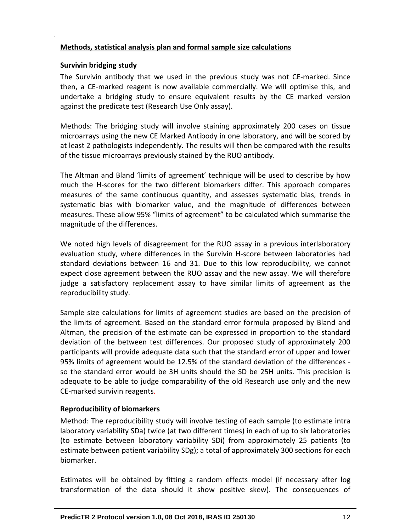## <span id="page-11-0"></span>**Methods, statistical analysis plan and formal sample size calculations**

### <span id="page-11-1"></span>**Survivin bridging study**

The Survivin antibody that we used in the previous study was not CE-marked. Since then, a CE-marked reagent is now available commercially. We will optimise this, and undertake a bridging study to ensure equivalent results by the CE marked version against the predicate test (Research Use Only assay).

Methods: The bridging study will involve staining approximately 200 cases on tissue microarrays using the new CE Marked Antibody in one laboratory, and will be scored by at least 2 pathologists independently. The results will then be compared with the results of the tissue microarrays previously stained by the RUO antibody.

The Altman and Bland 'limits of agreement' technique will be used to describe by how much the H-scores for the two different biomarkers differ. This approach compares measures of the same continuous quantity, and assesses systematic bias, trends in systematic bias with biomarker value, and the magnitude of differences between measures. These allow 95% "limits of agreement" to be calculated which summarise the magnitude of the differences.

We noted high levels of disagreement for the RUO assay in a previous interlaboratory evaluation study, where differences in the Survivin H-score between laboratories had standard deviations between 16 and 31. Due to this low reproducibility, we cannot expect close agreement between the RUO assay and the new assay. We will therefore judge a satisfactory replacement assay to have similar limits of agreement as the reproducibility study.

Sample size calculations for limits of agreement studies are based on the precision of the limits of agreement. Based on the standard error formula proposed by Bland and Altman, the precision of the estimate can be expressed in proportion to the standard deviation of the between test differences. Our proposed study of approximately 200 participants will provide adequate data such that the standard error of upper and lower 95% limits of agreement would be 12.5% of the standard deviation of the differences so the standard error would be 3H units should the SD be 25H units. This precision is adequate to be able to judge comparability of the old Research use only and the new CE-marked survivin reagents.

## <span id="page-11-2"></span>**Reproducibility of biomarkers**

Method: The reproducibility study will involve testing of each sample (to estimate intra laboratory variability SDa) twice (at two different times) in each of up to six laboratories (to estimate between laboratory variability SDi) from approximately 25 patients (to estimate between patient variability SDg); a total of approximately 300 sections for each biomarker.

Estimates will be obtained by fitting a random effects model (if necessary after log transformation of the data should it show positive skew). The consequences of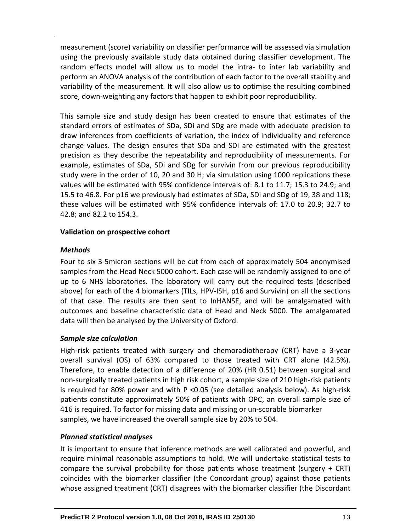measurement (score) variability on classifier performance will be assessed via simulation using the previously available study data obtained during classifier development. The random effects model will allow us to model the intra- to inter lab variability and perform an ANOVA analysis of the contribution of each factor to the overall stability and variability of the measurement. It will also allow us to optimise the resulting combined score, down-weighting any factors that happen to exhibit poor reproducibility.

This sample size and study design has been created to ensure that estimates of the standard errors of estimates of SDa, SDi and SDg are made with adequate precision to draw inferences from coefficients of variation, the index of individuality and reference change values. The design ensures that SDa and SDi are estimated with the greatest precision as they describe the repeatability and reproducibility of measurements. For example, estimates of SDa, SDi and SDg for survivin from our previous reproducibility study were in the order of 10, 20 and 30 H; via simulation using 1000 replications these values will be estimated with 95% confidence intervals of: 8.1 to 11.7; 15.3 to 24.9; and 15.5 to 46.8. For p16 we previously had estimates of SDa, SDi and SDg of 19, 38 and 118; these values will be estimated with 95% confidence intervals of: 17.0 to 20.9; 32.7 to 42.8; and 82.2 to 154.3.

## <span id="page-12-0"></span>**Validation on prospective cohort**

## <span id="page-12-1"></span>*Methods*

Four to six 3-5micron sections will be cut from each of approximately 504 anonymised samples from the Head Neck 5000 cohort. Each case will be randomly assigned to one of up to 6 NHS laboratories. The laboratory will carry out the required tests (described above) for each of the 4 biomarkers (TILs, HPV-ISH, p16 and Survivin) on all the sections of that case. The results are then sent to InHANSE, and will be amalgamated with outcomes and baseline characteristic data of Head and Neck 5000. The amalgamated data will then be analysed by the University of Oxford.

## *Sample size calculation*

High-risk patients treated with surgery and chemoradiotherapy (CRT) have a 3-year overall survival (OS) of 63% compared to those treated with CRT alone (42.5%). Therefore, to enable detection of a difference of 20% (HR 0.51) between surgical and non-surgically treated patients in high risk cohort, a sample size of 210 high-risk patients is required for 80% power and with P <0.05 (see detailed analysis below). As high-risk patients constitute approximately 50% of patients with OPC, an overall sample size of 416 is required. To factor for missing data and missing or un-scorable biomarker samples, we have increased the overall sample size by 20% to 504.

# <span id="page-12-2"></span>*Planned statistical analyses*

It is important to ensure that inference methods are well calibrated and powerful, and require minimal reasonable assumptions to hold. We will undertake statistical tests to compare the survival probability for those patients whose treatment (surgery + CRT) coincides with the biomarker classifier (the Concordant group) against those patients whose assigned treatment (CRT) disagrees with the biomarker classifier (the Discordant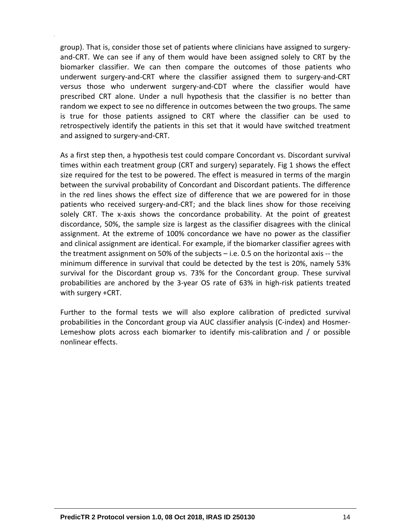group). That is, consider those set of patients where clinicians have assigned to surgeryand-CRT. We can see if any of them would have been assigned solely to CRT by the biomarker classifier. We can then compare the outcomes of those patients who underwent surgery-and-CRT where the classifier assigned them to surgery-and-CRT versus those who underwent surgery-and-CDT where the classifier would have prescribed CRT alone. Under a null hypothesis that the classifier is no better than random we expect to see no difference in outcomes between the two groups. The same is true for those patients assigned to CRT where the classifier can be used to retrospectively identify the patients in this set that it would have switched treatment and assigned to surgery-and-CRT.

As a first step then, a hypothesis test could compare Concordant vs. Discordant survival times within each treatment group (CRT and surgery) separately. Fig 1 shows the effect size required for the test to be powered. The effect is measured in terms of the margin between the survival probability of Concordant and Discordant patients. The difference in the red lines shows the effect size of difference that we are powered for in those patients who received surgery-and-CRT; and the black lines show for those receiving solely CRT. The x-axis shows the concordance probability. At the point of greatest discordance, 50%, the sample size is largest as the classifier disagrees with the clinical assignment. At the extreme of 100% concordance we have no power as the classifier and clinical assignment are identical. For example, if the biomarker classifier agrees with the treatment assignment on 50% of the subjects – i.e. 0.5 on the horizontal axis -- the minimum difference in survival that could be detected by the test is 20%, namely 53% survival for the Discordant group vs. 73% for the Concordant group. These survival probabilities are anchored by the 3-year OS rate of 63% in high-risk patients treated with surgery +CRT.

Further to the formal tests we will also explore calibration of predicted survival probabilities in the Concordant group via AUC classifier analysis (C-index) and Hosmer-Lemeshow plots across each biomarker to identify mis-calibration and / or possible nonlinear effects.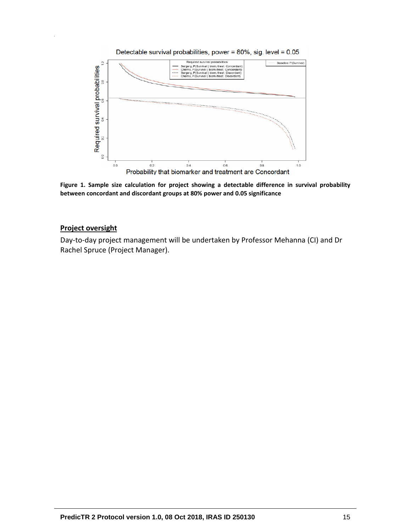

<span id="page-14-0"></span>**Figure 1. Sample size calculation for project showing a detectable difference in survival probability between concordant and discordant groups at 80% power and 0.05 significance**

## **Project oversight**

Day-to-day project management will be undertaken by Professor Mehanna (CI) and Dr Rachel Spruce (Project Manager).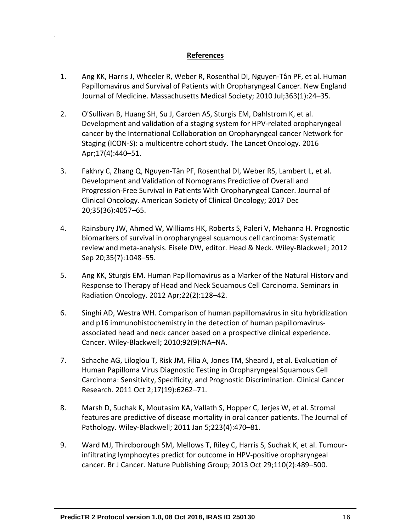## **References**

- <span id="page-15-0"></span>1. Ang KK, Harris J, Wheeler R, Weber R, Rosenthal DI, Nguyen-Tân PF, et al. Human Papillomavirus and Survival of Patients with Oropharyngeal Cancer. New England Journal of Medicine. Massachusetts Medical Society; 2010 Jul;363(1):24–35.
- 2. O'Sullivan B, Huang SH, Su J, Garden AS, Sturgis EM, Dahlstrom K, et al. Development and validation of a staging system for HPV-related oropharyngeal cancer by the International Collaboration on Oropharyngeal cancer Network for Staging (ICON-S): a multicentre cohort study. The Lancet Oncology. 2016 Apr;17(4):440–51.
- 3. Fakhry C, Zhang Q, Nguyen-Tân PF, Rosenthal DI, Weber RS, Lambert L, et al. Development and Validation of Nomograms Predictive of Overall and Progression-Free Survival in Patients With Oropharyngeal Cancer. Journal of Clinical Oncology. American Society of Clinical Oncology; 2017 Dec 20;35(36):4057–65.
- 4. Rainsbury JW, Ahmed W, Williams HK, Roberts S, Paleri V, Mehanna H. Prognostic biomarkers of survival in oropharyngeal squamous cell carcinoma: Systematic review and meta-analysis. Eisele DW, editor. Head & Neck. Wiley-Blackwell; 2012 Sep 20;35(7):1048–55.
- 5. Ang KK, Sturgis EM. Human Papillomavirus as a Marker of the Natural History and Response to Therapy of Head and Neck Squamous Cell Carcinoma. Seminars in Radiation Oncology. 2012 Apr;22(2):128–42.
- 6. Singhi AD, Westra WH. Comparison of human papillomavirus in situ hybridization and p16 immunohistochemistry in the detection of human papillomavirusassociated head and neck cancer based on a prospective clinical experience. Cancer. Wiley-Blackwell; 2010;92(9):NA–NA.
- 7. Schache AG, Liloglou T, Risk JM, Filia A, Jones TM, Sheard J, et al. Evaluation of Human Papilloma Virus Diagnostic Testing in Oropharyngeal Squamous Cell Carcinoma: Sensitivity, Specificity, and Prognostic Discrimination. Clinical Cancer Research. 2011 Oct 2;17(19):6262–71.
- 8. Marsh D, Suchak K, Moutasim KA, Vallath S, Hopper C, Jerjes W, et al. Stromal features are predictive of disease mortality in oral cancer patients. The Journal of Pathology. Wiley-Blackwell; 2011 Jan 5;223(4):470–81.
- 9. Ward MJ, Thirdborough SM, Mellows T, Riley C, Harris S, Suchak K, et al. Tumourinfiltrating lymphocytes predict for outcome in HPV-positive oropharyngeal cancer. Br J Cancer. Nature Publishing Group; 2013 Oct 29;110(2):489–500.